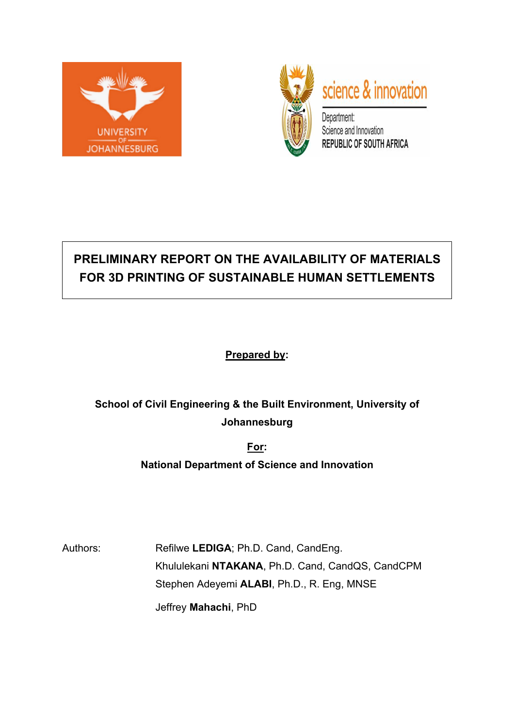



# **PRELIMINARY REPORT ON THE AVAILABILITY OF MATERIALS FOR 3D PRINTING OF SUSTAINABLE HUMAN SETTLEMENTS**

**Prepared by:**

# **School of Civil Engineering & the Built Environment, University of Johannesburg**

**For:**

**National Department of Science and Innovation**

Authors: Refilwe LEDIGA; Ph.D. Cand, CandEng. Khululekani **NTAKANA**, Ph.D. Cand, CandQS, CandCPM Stephen Adeyemi **ALABI**, Ph.D., R. Eng, MNSE Jeffrey **Mahachi**, PhD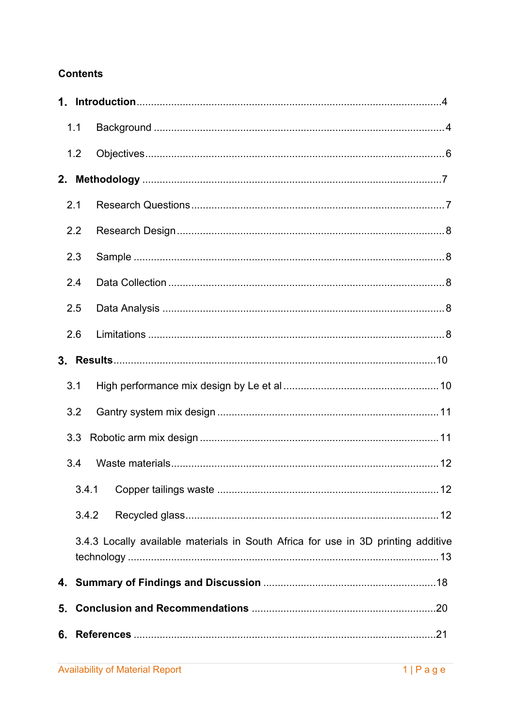## **Contents**

|    | 1.1   |                                                                                   |
|----|-------|-----------------------------------------------------------------------------------|
|    | 1.2   |                                                                                   |
|    |       |                                                                                   |
|    | 2.1   |                                                                                   |
|    | 2.2   |                                                                                   |
|    | 2.3   |                                                                                   |
|    | 2.4   |                                                                                   |
|    | 2.5   |                                                                                   |
|    | 2.6   |                                                                                   |
|    |       |                                                                                   |
|    | 3.1   |                                                                                   |
|    | 3.2   |                                                                                   |
|    | 3.3   |                                                                                   |
|    | 3.4   |                                                                                   |
|    | 3.4.1 |                                                                                   |
|    | 3.4.2 |                                                                                   |
|    |       | 3.4.3 Locally available materials in South Africa for use in 3D printing additive |
|    |       |                                                                                   |
| 5. |       |                                                                                   |
| 6. |       |                                                                                   |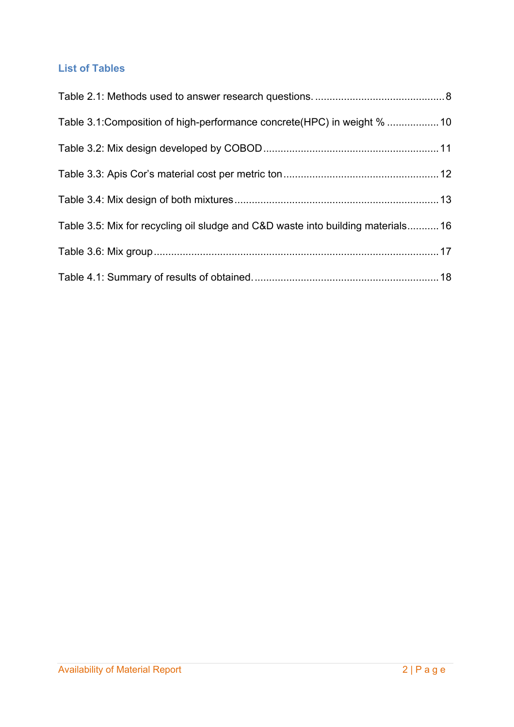## **List of Tables**

| Table 3.1: Composition of high-performance concrete (HPC) in weight %  10        |  |
|----------------------------------------------------------------------------------|--|
|                                                                                  |  |
|                                                                                  |  |
|                                                                                  |  |
| Table 3.5: Mix for recycling oil sludge and C&D waste into building materials 16 |  |
|                                                                                  |  |
|                                                                                  |  |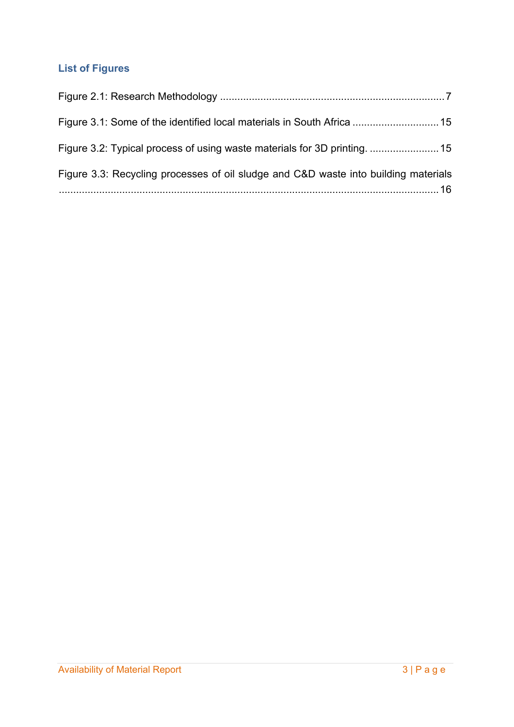## **List of Figures**

| Figure 3.3: Recycling processes of oil sludge and C&D waste into building materials |  |
|-------------------------------------------------------------------------------------|--|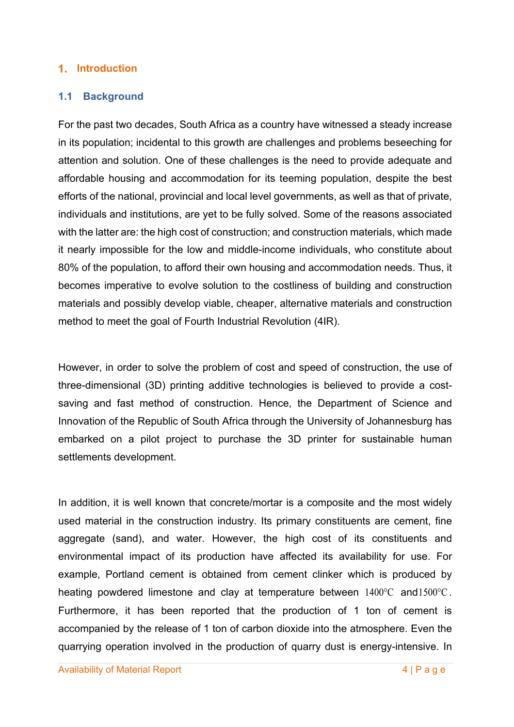#### **Introduction**

#### **1.1 Background**

For the past two decades, South Africa as a country have witnessed a steady increase in its population; incidental to this growth are challenges and problems beseeching for attention and solution. One of these challenges is the need to provide adequate and affordable housing and accommodation for its teeming population, despite the best efforts of the national, provincial and local level governments, as well as that of private, individuals and institutions, are yet to be fully solved. Some of the reasons associated with the latter are: the high cost of construction; and construction materials, which made it nearly impossible for the low and middle-income individuals, who constitute about 80% of the population, to afford their own housing and accommodation needs. Thus, it becomes imperative to evolve solution to the costliness of building and construction materials and possibly develop viable, cheaper, alternative materials and construction method to meet the goal of Fourth Industrial Revolution (4IR).

However, in order to solve the problem of cost and speed of construction, the use of three-dimensional (3D) printing additive technologies is believed to provide a costsaving and fast method of construction. Hence, the Department of Science and Innovation of the Republic of South Africa through the University of Johannesburg has embarked on a pilot project to purchase the 3D printer for sustainable human settlements development.

In addition, it is well known that concrete/mortar is a composite and the most widely used material in the construction industry. Its primary constituents are cement, fine aggregate (sand), and water. However, the high cost of its constituents and environmental impact of its production have affected its availability for use. For example, Portland cement is obtained from cement clinker which is produced by heating powdered limestone and clay at temperature between  $1400^{\circ}$ C and  $1500^{\circ}$ C. Furthermore, it has been reported that the production of 1 ton of cement is accompanied by the release of 1 ton of carbon dioxide into the atmosphere. Even the quarrying operation involved in the production of quarry dust is energy-intensive. In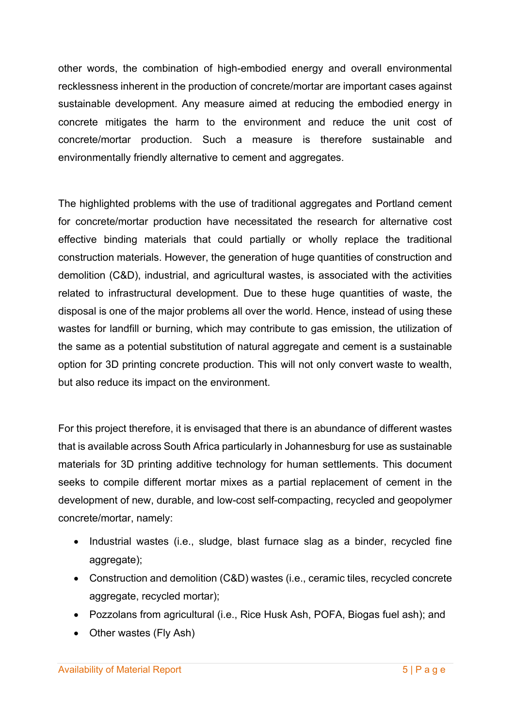other words, the combination of high-embodied energy and overall environmental recklessness inherent in the production of concrete/mortar are important cases against sustainable development. Any measure aimed at reducing the embodied energy in concrete mitigates the harm to the environment and reduce the unit cost of concrete/mortar production. Such a measure is therefore sustainable and environmentally friendly alternative to cement and aggregates.

The highlighted problems with the use of traditional aggregates and Portland cement for concrete/mortar production have necessitated the research for alternative cost effective binding materials that could partially or wholly replace the traditional construction materials. However, the generation of huge quantities of construction and demolition (C&D), industrial, and agricultural wastes, is associated with the activities related to infrastructural development. Due to these huge quantities of waste, the disposal is one of the major problems all over the world. Hence, instead of using these wastes for landfill or burning, which may contribute to gas emission, the utilization of the same as a potential substitution of natural aggregate and cement is a sustainable option for 3D printing concrete production. This will not only convert waste to wealth, but also reduce its impact on the environment.

For this project therefore, it is envisaged that there is an abundance of different wastes that is available across South Africa particularly in Johannesburg for use as sustainable materials for 3D printing additive technology for human settlements. This document seeks to compile different mortar mixes as a partial replacement of cement in the development of new, durable, and low-cost self-compacting, recycled and geopolymer concrete/mortar, namely:

- Industrial wastes (i.e., sludge, blast furnace slag as a binder, recycled fine aggregate);
- Construction and demolition (C&D) wastes (i.e., ceramic tiles, recycled concrete aggregate, recycled mortar);
- Pozzolans from agricultural (i.e., Rice Husk Ash, POFA, Biogas fuel ash); and
- Other wastes (Fly Ash)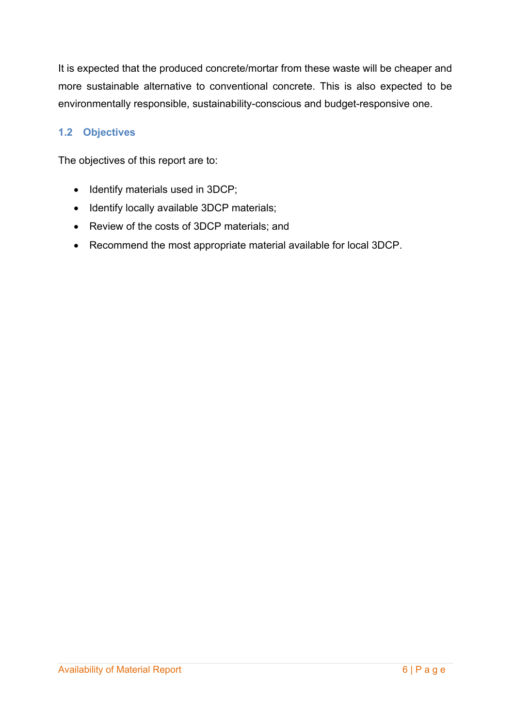It is expected that the produced concrete/mortar from these waste will be cheaper and more sustainable alternative to conventional concrete. This is also expected to be environmentally responsible, sustainability-conscious and budget-responsive one.

#### **1.2 Objectives**

The objectives of this report are to:

- Identify materials used in 3DCP;
- Identify locally available 3DCP materials;
- Review of the costs of 3DCP materials; and
- Recommend the most appropriate material available for local 3DCP.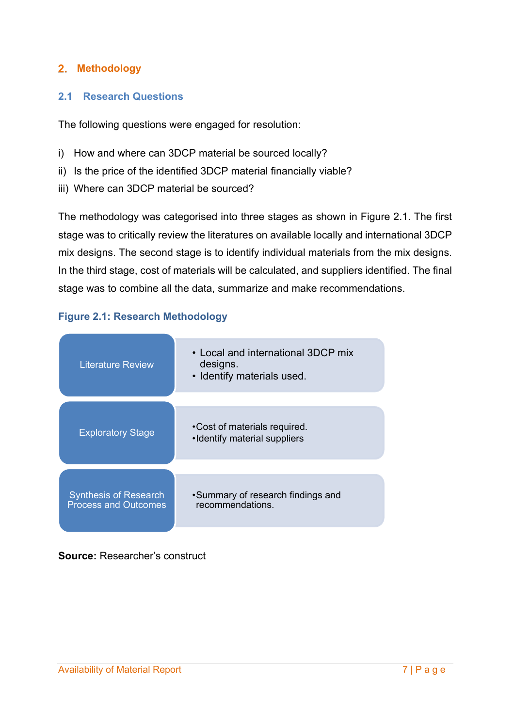#### **Methodology**

#### **2.1 Research Questions**

The following questions were engaged for resolution:

- i) How and where can 3DCP material be sourced locally?
- ii) Is the price of the identified 3DCP material financially viable?
- iii) Where can 3DCP material be sourced?

The methodology was categorised into three stages as shown in Figure 2.1. The first stage was to critically review the literatures on available locally and international 3DCP mix designs. The second stage is to identify individual materials from the mix designs. In the third stage, cost of materials will be calculated, and suppliers identified. The final stage was to combine all the data, summarize and make recommendations.

# • Local and international 3DCP mix designs. • Identify materials used. Literature Review •Cost of materials required. Exploratory Stage<br>  $\begin{array}{r} \text{Cost of materials requires} \\ \text{Identity material supplies} \end{array}$ •Summary of research findings and recommendations. Synthesis of Research Process and Outcomes

#### **Figure 2.1: Research Methodology**

#### **Source:** Researcher's construct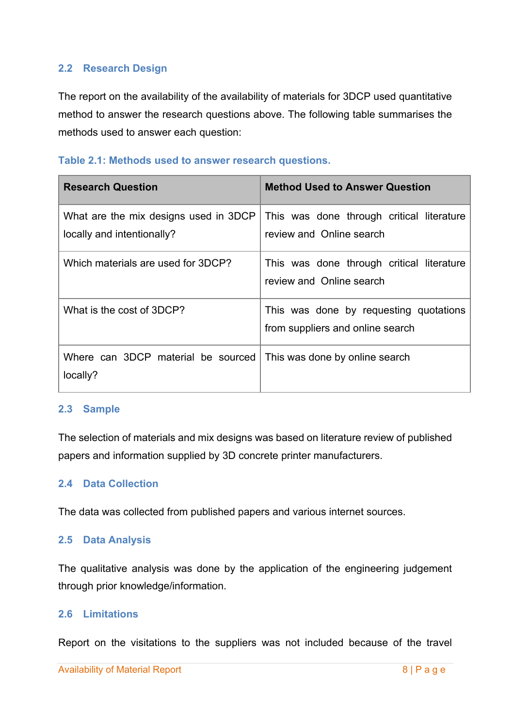#### **2.2 Research Design**

The report on the availability of the availability of materials for 3DCP used quantitative method to answer the research questions above. The following table summarises the methods used to answer each question:

#### **Table 2.1: Methods used to answer research questions.**

| <b>Research Question</b>                                            | <b>Method Used to Answer Question</b>                                      |
|---------------------------------------------------------------------|----------------------------------------------------------------------------|
| What are the mix designs used in 3DCP<br>locally and intentionally? | This was done through critical literature<br>review and Online search      |
| Which materials are used for 3DCP?                                  | This was done through critical literature<br>review and Online search      |
| What is the cost of 3DCP?                                           | This was done by requesting quotations<br>from suppliers and online search |
| Where can 3DCP material be sourced<br>locally?                      | This was done by online search                                             |

#### **2.3 Sample**

The selection of materials and mix designs was based on literature review of published papers and information supplied by 3D concrete printer manufacturers.

#### **2.4 Data Collection**

The data was collected from published papers and various internet sources.

#### **2.5 Data Analysis**

The qualitative analysis was done by the application of the engineering judgement through prior knowledge/information.

#### **2.6 Limitations**

Report on the visitations to the suppliers was not included because of the travel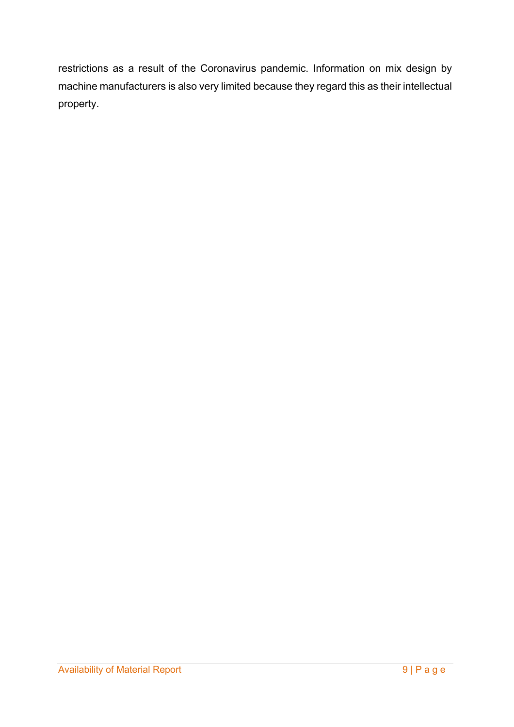restrictions as a result of the Coronavirus pandemic. Information on mix design by machine manufacturers is also very limited because they regard this as their intellectual property.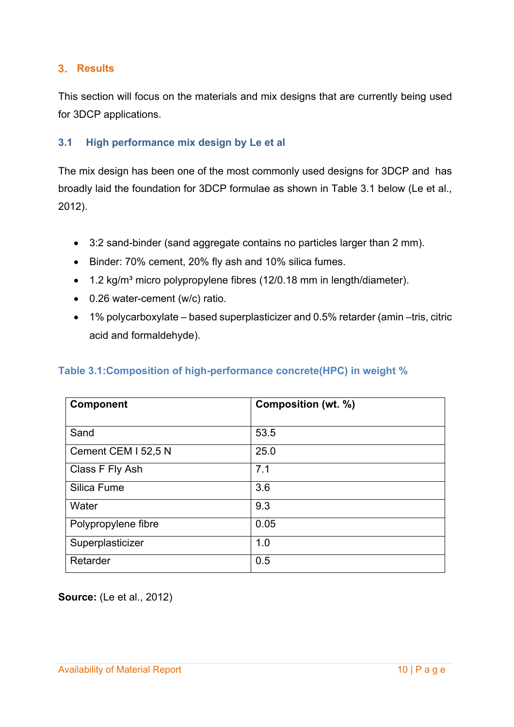#### **Results**

This section will focus on the materials and mix designs that are currently being used for 3DCP applications.

#### **3.1 High performance mix design by Le et al**

The mix design has been one of the most commonly used designs for 3DCP and has broadly laid the foundation for 3DCP formulae as shown in Table 3.1 below (Le et al., 2012).

- 3:2 sand-binder (sand aggregate contains no particles larger than 2 mm).
- Binder: 70% cement, 20% fly ash and 10% silica fumes.
- 1.2 kg/m<sup>3</sup> micro polypropylene fibres (12/0.18 mm in length/diameter).
- 0.26 water-cement (w/c) ratio.
- 1% polycarboxylate based superplasticizer and 0.5% retarder (amin –tris, citric acid and formaldehyde).

#### **Table 3.1:Composition of high-performance concrete(HPC) in weight %**

| <b>Component</b>    | Composition (wt. %) |
|---------------------|---------------------|
|                     |                     |
| Sand                | 53.5                |
| Cement CEM I 52,5 N | 25.0                |
| Class F Fly Ash     | 7.1                 |
| Silica Fume         | 3.6                 |
| Water               | 9.3                 |
| Polypropylene fibre | 0.05                |
| Superplasticizer    | 1.0                 |
| Retarder            | 0.5                 |

**Source:** (Le et al., 2012)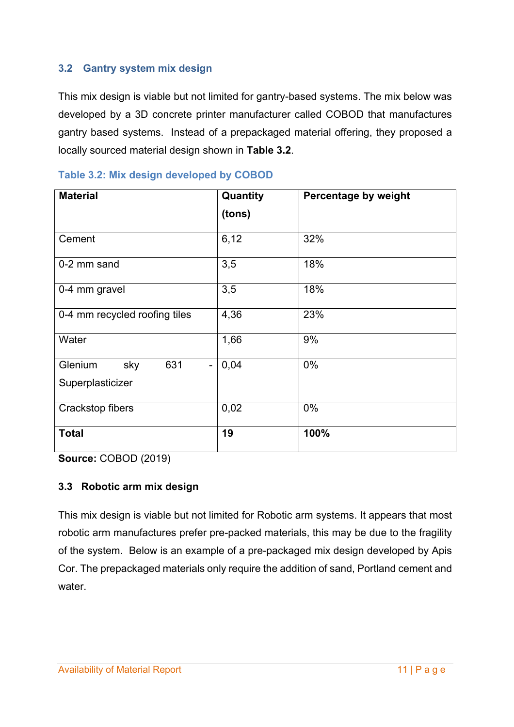#### **3.2 Gantry system mix design**

This mix design is viable but not limited for gantry-based systems. The mix below was developed by a 3D concrete printer manufacturer called COBOD that manufactures gantry based systems. Instead of a prepackaged material offering, they proposed a locally sourced material design shown in **Table 3.2**.

| <b>Material</b>               | Quantity | Percentage by weight |
|-------------------------------|----------|----------------------|
|                               | (tons)   |                      |
| Cement                        | 6,12     | 32%                  |
| 0-2 mm sand                   | 3,5      | 18%                  |
| 0-4 mm gravel                 | 3,5      | 18%                  |
| 0-4 mm recycled roofing tiles | 4,36     | 23%                  |
| Water                         | 1,66     | 9%                   |
| Glenium<br>631<br>sky         | 0,04     | $0\%$                |
| Superplasticizer              |          |                      |
| Crackstop fibers              | 0,02     | $0\%$                |
| <b>Total</b>                  | 19       | 100%                 |

#### **Table 3.2: Mix design developed by COBOD**

**Source:** COBOD (2019)

#### **3.3 Robotic arm mix design**

This mix design is viable but not limited for Robotic arm systems. It appears that most robotic arm manufactures prefer pre-packed materials, this may be due to the fragility of the system. Below is an example of a pre-packaged mix design developed by Apis Cor. The prepackaged materials only require the addition of sand, Portland cement and water.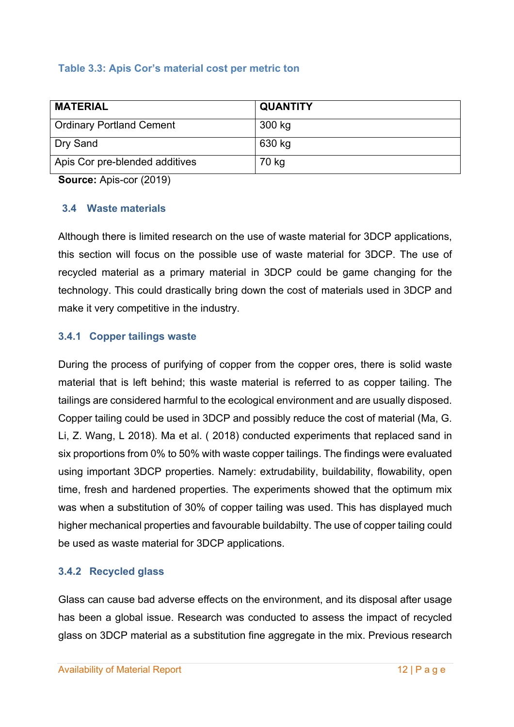#### **Table 3.3: Apis Cor's material cost per metric ton**

| <b>MATERIAL</b>                 | <b>QUANTITY</b> |
|---------------------------------|-----------------|
| <b>Ordinary Portland Cement</b> | 300 kg          |
| Dry Sand                        | 630 kg          |
| Apis Cor pre-blended additives  | 70 kg           |

**Source:** Apis-cor (2019)

#### **3.4 Waste materials**

Although there is limited research on the use of waste material for 3DCP applications, this section will focus on the possible use of waste material for 3DCP. The use of recycled material as a primary material in 3DCP could be game changing for the technology. This could drastically bring down the cost of materials used in 3DCP and make it very competitive in the industry.

#### **3.4.1 Copper tailings waste**

During the process of purifying of copper from the copper ores, there is solid waste material that is left behind; this waste material is referred to as copper tailing. The tailings are considered harmful to the ecological environment and are usually disposed. Copper tailing could be used in 3DCP and possibly reduce the cost of material (Ma, G. Li, Z. Wang, L 2018). Ma et al. ( 2018) conducted experiments that replaced sand in six proportions from 0% to 50% with waste copper tailings. The findings were evaluated using important 3DCP properties. Namely: extrudability, buildability, flowability, open time, fresh and hardened properties. The experiments showed that the optimum mix was when a substitution of 30% of copper tailing was used. This has displayed much higher mechanical properties and favourable buildabilty. The use of copper tailing could be used as waste material for 3DCP applications.

#### **3.4.2 Recycled glass**

Glass can cause bad adverse effects on the environment, and its disposal after usage has been a global issue. Research was conducted to assess the impact of recycled glass on 3DCP material as a substitution fine aggregate in the mix. Previous research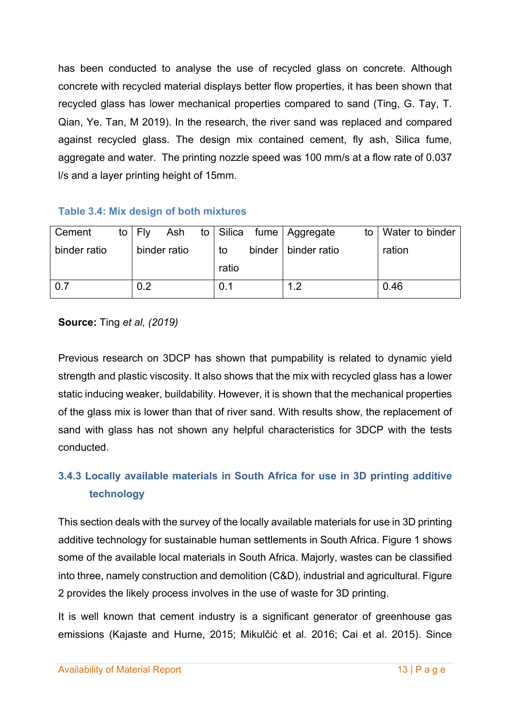has been conducted to analyse the use of recycled glass on concrete. Although concrete with recycled material displays better flow properties, it has been shown that recycled glass has lower mechanical properties compared to sand (Ting, G. Tay, T. Qian, Ye. Tan, M 2019). In the research, the river sand was replaced and compared against recycled glass. The design mix contained cement, fly ash, Silica fume, aggregate and water. The printing nozzle speed was 100 mm/s at a flow rate of 0.037 l/s and a layer printing height of 15mm.

#### **Table 3.4: Mix design of both mixtures**

| Cement       |  | to $ $ Fly |              |       | Ash to Silica fume Aggregate | to | <b>Water to binder</b> |
|--------------|--|------------|--------------|-------|------------------------------|----|------------------------|
| binder ratio |  |            | binder ratio | to    | binder   binder ratio        |    | ration                 |
|              |  |            |              | ratio |                              |    |                        |
| 0.7          |  | 0.2        |              | 0.1   | 1.2                          |    | 0.46                   |

**Source:** Ting *et al, (2019)*

Previous research on 3DCP has shown that pumpability is related to dynamic yield strength and plastic viscosity. It also shows that the mix with recycled glass has a lower static inducing weaker, buildability. However, it is shown that the mechanical properties of the glass mix is lower than that of river sand. With results show, the replacement of sand with glass has not shown any helpful characteristics for 3DCP with the tests conducted.

## **3.4.3 Locally available materials in South Africa for use in 3D printing additive technology**

This section deals with the survey of the locally available materials for use in 3D printing additive technology for sustainable human settlements in South Africa. Figure 1 shows some of the available local materials in South Africa. Majorly, wastes can be classified into three, namely construction and demolition (C&D), industrial and agricultural. Figure 2 provides the likely process involves in the use of waste for 3D printing.

It is well known that cement industry is a significant generator of greenhouse gas emissions (Kajaste and Hurne, 2015; Mikulčić et al. 2016; Cai et al. 2015). Since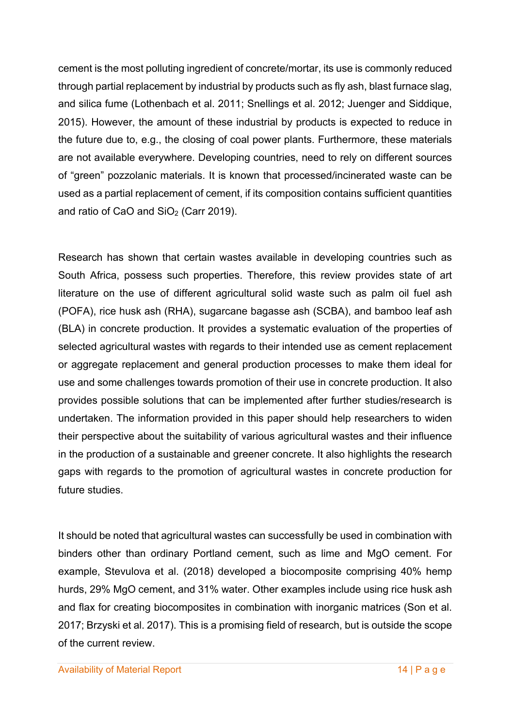cement is the most polluting ingredient of concrete/mortar, its use is commonly reduced through partial replacement by industrial by products such as fly ash, blast furnace slag, and silica fume (Lothenbach et al. 2011; Snellings et al. 2012; Juenger and Siddique, 2015). However, the amount of these industrial by products is expected to reduce in the future due to, e.g., the closing of coal power plants. Furthermore, these materials are not available everywhere. Developing countries, need to rely on different sources of "green" pozzolanic materials. It is known that processed/incinerated waste can be used as a partial replacement of cement, if its composition contains sufficient quantities and ratio of CaO and  $SiO<sub>2</sub>$  (Carr 2019).

Research has shown that certain wastes available in developing countries such as South Africa, possess such properties. Therefore, this review provides state of art literature on the use of different agricultural solid waste such as palm oil fuel ash (POFA), rice husk ash (RHA), sugarcane bagasse ash (SCBA), and bamboo leaf ash (BLA) in concrete production. It provides a systematic evaluation of the properties of selected agricultural wastes with regards to their intended use as cement replacement or aggregate replacement and general production processes to make them ideal for use and some challenges towards promotion of their use in concrete production. It also provides possible solutions that can be implemented after further studies/research is undertaken. The information provided in this paper should help researchers to widen their perspective about the suitability of various agricultural wastes and their influence in the production of a sustainable and greener concrete. It also highlights the research gaps with regards to the promotion of agricultural wastes in concrete production for future studies.

It should be noted that agricultural wastes can successfully be used in combination with binders other than ordinary Portland cement, such as lime and MgO cement. For example, Stevulova et al. (2018) developed a biocomposite comprising 40% hemp hurds, 29% MgO cement, and 31% water. Other examples include using rice husk ash and flax for creating biocomposites in combination with inorganic matrices (Son et al. 2017; Brzyski et al. 2017). This is a promising field of research, but is outside the scope of the current review.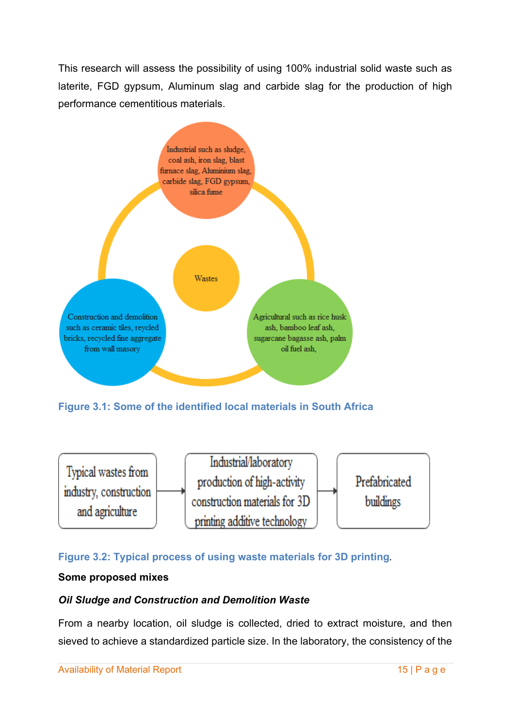This research will assess the possibility of using 100% industrial solid waste such as laterite, FGD gypsum, Aluminum slag and carbide slag for the production of high performance cementitious materials.



**Figure 3.1: Some of the identified local materials in South Africa**



#### **Figure 3.2: Typical process of using waste materials for 3D printing.**

#### **Some proposed mixes**

#### *Oil Sludge and Construction and Demolition Waste*

From a nearby location, oil sludge is collected, dried to extract moisture, and then sieved to achieve a standardized particle size. In the laboratory, the consistency of the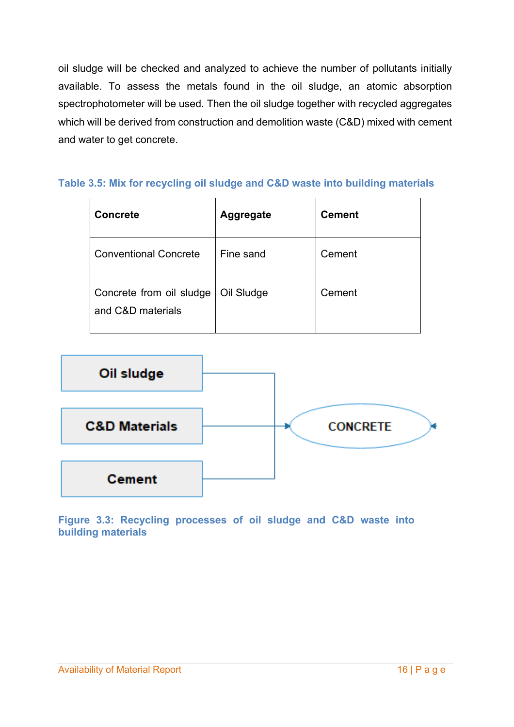oil sludge will be checked and analyzed to achieve the number of pollutants initially available. To assess the metals found in the oil sludge, an atomic absorption spectrophotometer will be used. Then the oil sludge together with recycled aggregates which will be derived from construction and demolition waste (C&D) mixed with cement and water to get concrete.

#### **Table 3.5: Mix for recycling oil sludge and C&D waste into building materials**

| <b>Concrete</b>                               | <b>Aggregate</b> | <b>Cement</b> |
|-----------------------------------------------|------------------|---------------|
| <b>Conventional Concrete</b>                  | Fine sand        | Cement        |
| Concrete from oil sludge<br>and C&D materials | Oil Sludge       | Cement        |



**Figure 3.3: Recycling processes of oil sludge and C&D waste into building materials**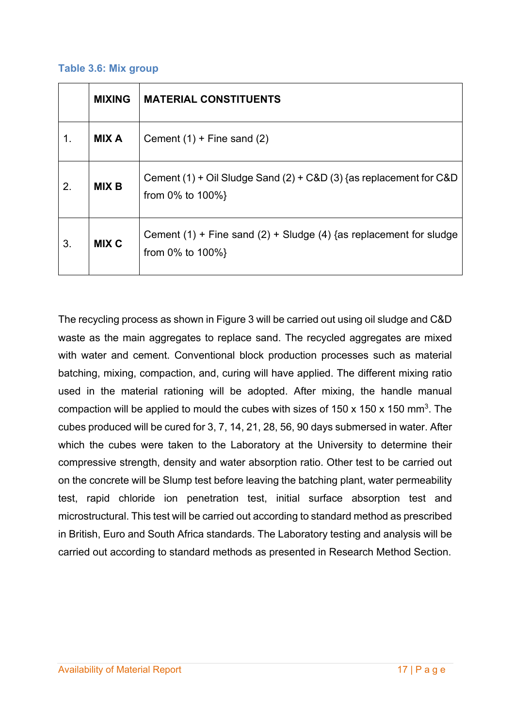#### **Table 3.6: Mix group**

|    | <b>MIXING</b> | <b>MATERIAL CONSTITUENTS</b>                                                                |
|----|---------------|---------------------------------------------------------------------------------------------|
| 1. | <b>MIX A</b>  | Cement $(1)$ + Fine sand $(2)$                                                              |
| 2. | <b>MIX B</b>  | Cement (1) + Oil Sludge Sand (2) + C&D (3) {as replacement for C&D<br>from $0\%$ to $100\%$ |
| 3. | <b>MIX C</b>  | Cement (1) + Fine sand (2) + Sludge (4) {as replacement for sludge<br>from $0\%$ to $100\%$ |

The recycling process as shown in Figure 3 will be carried out using oil sludge and C&D waste as the main aggregates to replace sand. The recycled aggregates are mixed with water and cement. Conventional block production processes such as material batching, mixing, compaction, and, curing will have applied. The different mixing ratio used in the material rationing will be adopted. After mixing, the handle manual compaction will be applied to mould the cubes with sizes of 150 x 150 x 150 mm<sup>3</sup>. The cubes produced will be cured for 3, 7, 14, 21, 28, 56, 90 days submersed in water. After which the cubes were taken to the Laboratory at the University to determine their compressive strength, density and water absorption ratio. Other test to be carried out on the concrete will be Slump test before leaving the batching plant, water permeability test, rapid chloride ion penetration test, initial surface absorption test and microstructural. This test will be carried out according to standard method as prescribed in British, Euro and South Africa standards. The Laboratory testing and analysis will be carried out according to standard methods as presented in Research Method Section.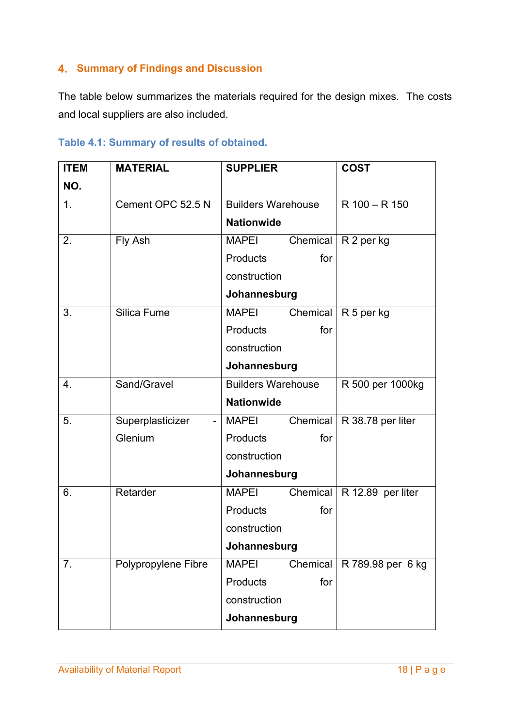### **4. Summary of Findings and Discussion**

The table below summarizes the materials required for the design mixes. The costs and local suppliers are also included.

|  |  |  | Table 4.1: Summary of results of obtained. |
|--|--|--|--------------------------------------------|
|--|--|--|--------------------------------------------|

| <b>ITEM</b>      | <b>MATERIAL</b>     | <b>SUPPLIER</b>           |          | <b>COST</b>       |
|------------------|---------------------|---------------------------|----------|-------------------|
| NO.              |                     |                           |          |                   |
| 1.               | Cement OPC 52.5 N   | <b>Builders Warehouse</b> |          | R 100 - R 150     |
|                  |                     | <b>Nationwide</b>         |          |                   |
| 2.               | Fly Ash             | <b>MAPEI</b>              | Chemical | R 2 per kg        |
|                  |                     | <b>Products</b>           | for      |                   |
|                  |                     | construction              |          |                   |
|                  |                     | Johannesburg              |          |                   |
| 3.               | Silica Fume         | <b>MAPEI</b>              | Chemical | R 5 per kg        |
|                  |                     | <b>Products</b>           | for      |                   |
|                  |                     | construction              |          |                   |
|                  |                     | Johannesburg              |          |                   |
| $\overline{4}$ . | Sand/Gravel         | <b>Builders Warehouse</b> |          | R 500 per 1000kg  |
|                  |                     | <b>Nationwide</b>         |          |                   |
| 5.               | Superplasticizer    | <b>MAPEI</b>              | Chemical | R 38.78 per liter |
|                  | Glenium             | Products                  | for      |                   |
|                  |                     | construction              |          |                   |
|                  |                     | Johannesburg              |          |                   |
| 6.               | Retarder            | <b>MAPEI</b>              | Chemical | R 12.89 per liter |
|                  |                     | Products                  | for      |                   |
|                  |                     | construction              |          |                   |
|                  |                     | Johannesburg              |          |                   |
| 7.               | Polypropylene Fibre | <b>MAPEI</b>              | Chemical | R 789.98 per 6 kg |
|                  |                     | Products                  | for      |                   |
|                  |                     | construction              |          |                   |
|                  |                     | Johannesburg              |          |                   |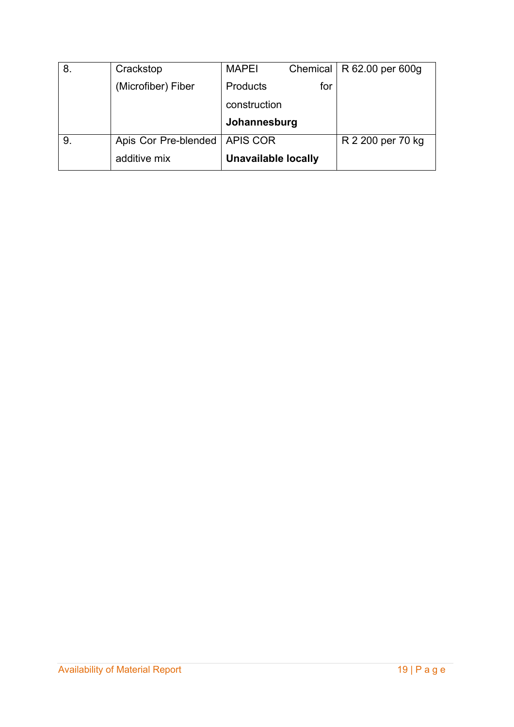| 8. | Crackstop                       | <b>MAPEI</b>    |     | Chemical   $R$ 62.00 per 600g |
|----|---------------------------------|-----------------|-----|-------------------------------|
|    | (Microfiber) Fiber              | <b>Products</b> | for |                               |
|    |                                 | construction    |     |                               |
|    |                                 | Johannesburg    |     |                               |
|    |                                 |                 |     |                               |
| 9. | Apis Cor Pre-blended   APIS COR |                 |     | R 2 200 per 70 kg             |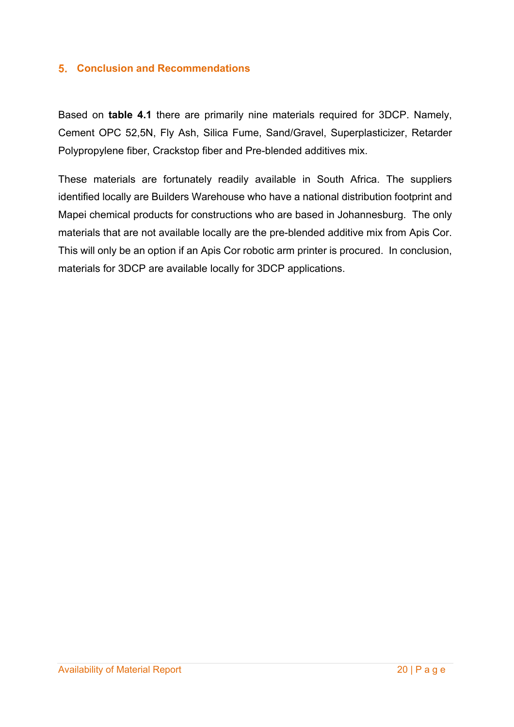#### **Conclusion and Recommendations**

Based on **table 4.1** there are primarily nine materials required for 3DCP. Namely, Cement OPC 52,5N, Fly Ash, Silica Fume, Sand/Gravel, Superplasticizer, Retarder Polypropylene fiber, Crackstop fiber and Pre-blended additives mix.

These materials are fortunately readily available in South Africa. The suppliers identified locally are Builders Warehouse who have a national distribution footprint and Mapei chemical products for constructions who are based in Johannesburg. The only materials that are not available locally are the pre-blended additive mix from Apis Cor. This will only be an option if an Apis Cor robotic arm printer is procured. In conclusion, materials for 3DCP are available locally for 3DCP applications.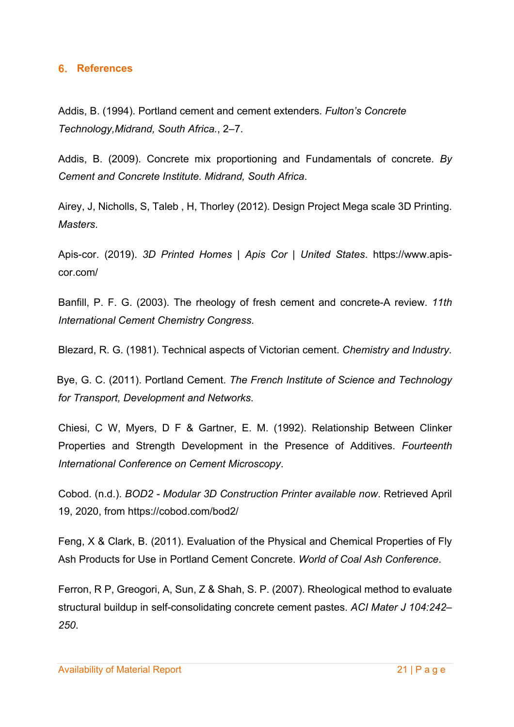#### **References**

Addis, B. (1994). Portland cement and cement extenders. *Fulton's Concrete Technology,Midrand, South Africa.*, 2–7.

Addis, B. (2009). Concrete mix proportioning and Fundamentals of concrete. *By Cement and Concrete Institute. Midrand, South Africa*.

Airey, J, Nicholls, S, Taleb , H, Thorley (2012). Design Project Mega scale 3D Printing. *Masters*.

Apis-cor. (2019). *3D Printed Homes | Apis Cor | United States*. https://www.apiscor.com/

Banfill, P. F. G. (2003). The rheology of fresh cement and concrete-A review. *11th International Cement Chemistry Congress*.

Blezard, R. G. (1981). Technical aspects of Victorian cement. *Chemistry and Industry*.

Bye, G. C. (2011). Portland Cement. *The French Institute of Science and Technology for Transport, Development and Networks*.

Chiesi, C W, Myers, D F & Gartner, E. M. (1992). Relationship Between Clinker Properties and Strength Development in the Presence of Additives. *Fourteenth International Conference on Cement Microscopy*.

Cobod. (n.d.). *BOD2 - Modular 3D Construction Printer available now*. Retrieved April 19, 2020, from https://cobod.com/bod2/

Feng, X & Clark, B. (2011). Evaluation of the Physical and Chemical Properties of Fly Ash Products for Use in Portland Cement Concrete. *World of Coal Ash Conference*.

Ferron, R P, Greogori, A, Sun, Z & Shah, S. P. (2007). Rheological method to evaluate structural buildup in self-consolidating concrete cement pastes. *ACI Mater J 104:242– 250*.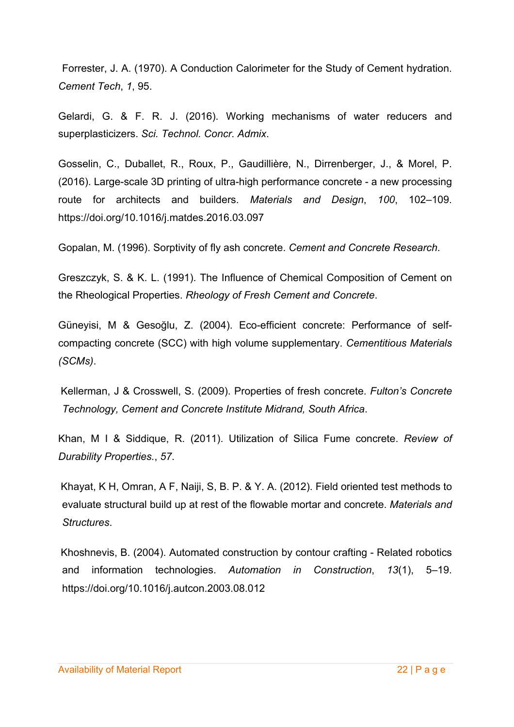Forrester, J. A. (1970). A Conduction Calorimeter for the Study of Cement hydration. *Cement Tech*, *1*, 95.

Gelardi, G. & F. R. J. (2016). Working mechanisms of water reducers and superplasticizers. *Sci. Technol. Concr. Admix*.

Gosselin, C., Duballet, R., Roux, P., Gaudillière, N., Dirrenberger, J., & Morel, P. (2016). Large-scale 3D printing of ultra-high performance concrete - a new processing route for architects and builders. *Materials and Design*, *100*, 102–109. https://doi.org/10.1016/j.matdes.2016.03.097

Gopalan, M. (1996). Sorptivity of fly ash concrete. *Cement and Concrete Research*.

Greszczyk, S. & K. L. (1991). The Influence of Chemical Composition of Cement on the Rheological Properties. *Rheology of Fresh Cement and Concrete*.

Güneyisi, M & Gesoğlu, Z. (2004). Eco-efficient concrete: Performance of selfcompacting concrete (SCC) with high volume supplementary. *Cementitious Materials (SCMs)*.

Kellerman, J & Crosswell, S. (2009). Properties of fresh concrete. *Fulton's Concrete Technology, Cement and Concrete Institute Midrand, South Africa*.

Khan, M I & Siddique, R. (2011). Utilization of Silica Fume concrete. *Review of Durability Properties.*, *57*.

Khayat, K H, Omran, A F, Naiji, S, B. P. & Y. A. (2012). Field oriented test methods to evaluate structural build up at rest of the flowable mortar and concrete. *Materials and Structures*.

Khoshnevis, B. (2004). Automated construction by contour crafting - Related robotics and information technologies. *Automation in Construction*, *13*(1), 5–19. https://doi.org/10.1016/j.autcon.2003.08.012